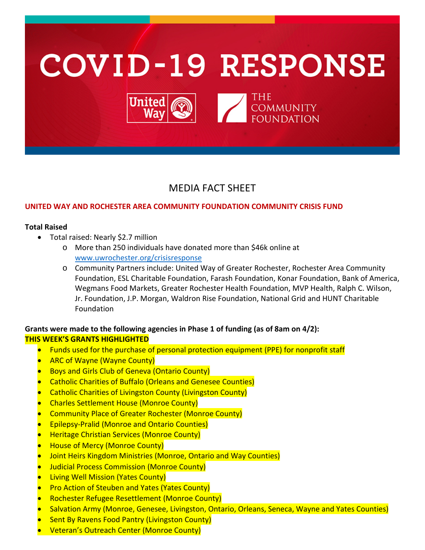

# MEDIA FACT SHEET

#### **UNITED WAY AND ROCHESTER AREA COMMUNITY FOUNDATION COMMUNITY CRISIS FUND**

#### **Total Raised**

- Total raised: Nearly \$2.7 million
	- o More than 250 individuals have donated more than \$46k online at [www.uwrochester.org/crisisresponse](http://www.uwrochester.org/crisisresponse)
	- o Community Partners include: United Way of Greater Rochester, Rochester Area Community Foundation, ESL Charitable Foundation, Farash Foundation, Konar Foundation, Bank of America, Wegmans Food Markets, Greater Rochester Health Foundation, MVP Health, Ralph C. Wilson, Jr. Foundation, J.P. Morgan, Waldron Rise Foundation, National Grid and HUNT Charitable Foundation

### **Grants were made to the following agencies in Phase 1 of funding (as of 8am on 4/2): THIS WEEK'S GRANTS HIGHLIGHTED**

- Funds used for the purchase of personal protection equipment (PPE) for nonprofit staff
- ARC of Wayne (Wayne County)
- Boys and Girls Club of Geneva (Ontario County)
- Catholic Charities of Buffalo (Orleans and Genesee Counties)
- Catholic Charities of Livingston County (Livingston County)
- Charles Settlement House (Monroe County)
- Community Place of Greater Rochester (Monroe County)
- Epilepsy-Pralid (Monroe and Ontario Counties)
- Heritage Christian Services (Monroe County)
- House of Mercy (Monroe County)
- Joint Heirs Kingdom Ministries (Monroe, Ontario and Way Counties)
- Judicial Process Commission (Monroe County)
- **Living Well Mission (Yates County)**
- Pro Action of Steuben and Yates (Yates County)
- Rochester Refugee Resettlement (Monroe County)
- Salvation Army (Monroe, Genesee, Livingston, Ontario, Orleans, Seneca, Wayne and Yates Counties)
- **Sent By Ravens Food Pantry (Livingston County)**
- Veteran's Outreach Center (Monroe County)